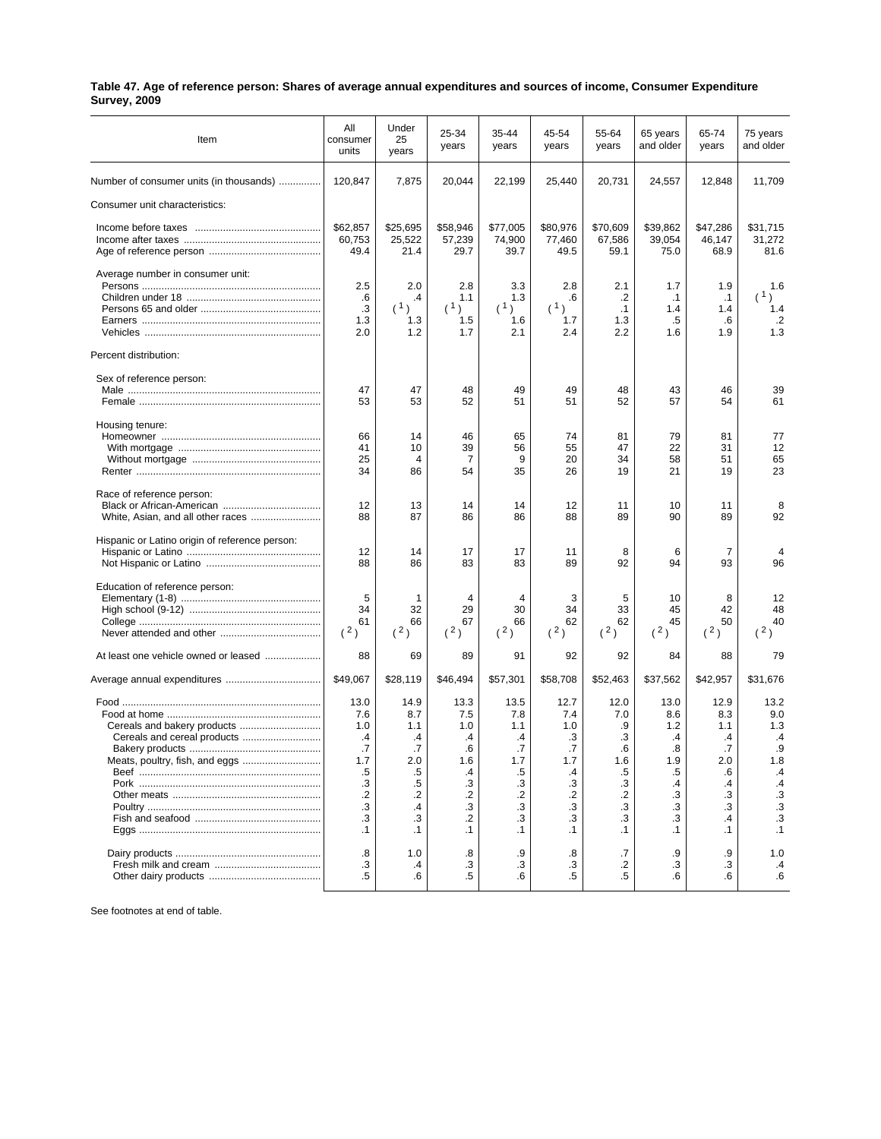| Table 47. Age of reference person: Shares of average annual expenditures and sources of income, Consumer Expenditure |  |
|----------------------------------------------------------------------------------------------------------------------|--|
| <b>Survey, 2009</b>                                                                                                  |  |

| Item                                           | All<br>consumer<br>units   | Under<br>25<br>years       | 25-34<br>years             | 35-44<br>years             | 45-54<br>years             | 55-64<br>years             | 65 years<br>and older      | 65-74<br>years             | 75 years<br>and older      |
|------------------------------------------------|----------------------------|----------------------------|----------------------------|----------------------------|----------------------------|----------------------------|----------------------------|----------------------------|----------------------------|
| Number of consumer units (in thousands)        | 120,847                    | 7,875                      | 20,044                     | 22,199                     | 25,440                     | 20,731                     | 24,557                     | 12,848                     | 11,709                     |
| Consumer unit characteristics:                 |                            |                            |                            |                            |                            |                            |                            |                            |                            |
|                                                | \$62,857<br>60,753<br>49.4 | \$25,695<br>25,522<br>21.4 | \$58,946<br>57,239<br>29.7 | \$77,005<br>74,900<br>39.7 | \$80,976<br>77,460<br>49.5 | \$70,609<br>67,586<br>59.1 | \$39,862<br>39,054<br>75.0 | \$47,286<br>46,147<br>68.9 | \$31,715<br>31,272<br>81.6 |
| Average number in consumer unit:               | 2.5<br>.6                  | 2.0<br>.4                  | 2.8<br>1.1                 | 3.3<br>1.3                 | 2.8<br>.6                  | 2.1<br>.2                  | 1.7<br>$\cdot$ 1           | 1.9<br>$\cdot$ 1           | 1.6<br>(1)                 |
|                                                | $\cdot$ 3<br>1.3<br>2.0    | (1)<br>1.3<br>1.2          | (1)<br>1.5<br>1.7          | (1)<br>1.6<br>2.1          | (1)<br>1.7<br>2.4          | .1<br>1.3<br>2.2           | 1.4<br>.5<br>1.6           | 1.4<br>.6<br>1.9           | 1.4<br>$\cdot$<br>1.3      |
| Percent distribution:                          |                            |                            |                            |                            |                            |                            |                            |                            |                            |
| Sex of reference person:                       |                            |                            |                            |                            |                            |                            |                            |                            |                            |
|                                                | 47<br>53                   | 47<br>53                   | 48<br>52                   | 49<br>51                   | 49<br>51                   | 48<br>52                   | 43<br>57                   | 46<br>54                   | 39<br>61                   |
| Housing tenure:                                | 66                         | 14                         | 46                         | 65                         | 74                         | 81                         | 79                         | 81                         | 77                         |
|                                                | 41<br>25                   | 10<br>4                    | 39<br>7                    | 56<br>9                    | 55<br>20                   | 47<br>34                   | 22<br>58                   | 31<br>51                   | 12<br>65                   |
|                                                | 34                         | 86                         | 54                         | 35                         | 26                         | 19                         | 21                         | 19                         | 23                         |
| Race of reference person:                      | 12<br>88                   | 13<br>87                   | 14<br>86                   | 14<br>86                   | 12<br>88                   | 11<br>89                   | 10<br>90                   | 11<br>89                   | 8<br>92                    |
| Hispanic or Latino origin of reference person: | 12<br>88                   | 14<br>86                   | 17<br>83                   | 17<br>83                   | 11<br>89                   | 8<br>92                    | 6<br>94                    | 7<br>93                    | 4<br>96                    |
| Education of reference person:                 |                            |                            |                            |                            |                            |                            |                            |                            |                            |
|                                                | 5                          | 1                          | 4                          | 4                          | 3                          | 5                          | 10                         | 8                          | 12                         |
|                                                | 34<br>61<br>(2)            | 32<br>66<br>(2)            | 29<br>67<br>(2)            | 30<br>66<br>(2)            | 34<br>62<br>(2)            | 33<br>62<br>(2)            | 45<br>45<br>(2)            | 42<br>50<br>(2)            | 48<br>40<br>(2)            |
| At least one vehicle owned or leased           | 88                         | 69                         | 89                         | 91                         | 92                         | 92                         | 84                         | 88                         | 79                         |
| Average annual expenditures                    | \$49.067                   | \$28,119                   | \$46,494                   | \$57,301                   | \$58,708                   | \$52,463                   | \$37,562                   | \$42,957                   | \$31,676                   |
|                                                | 13.0<br>7.6                | 14.9<br>8.7                | 13.3<br>7.5                | 13.5<br>7.8                | 12.7<br>7.4                | 12.0<br>7.0                | 13.0<br>8.6                | 12.9<br>8.3                | 13.2<br>9.0                |
|                                                | 1.0                        | 1.1                        | 1.0                        | 1.1                        | 1.0                        | .9                         | 1.2                        | 1.1                        | 1.3                        |
| Cereals and cereal products                    | .4<br>.7                   | .4<br>.7                   | .4<br>.6                   | .4<br>.7                   | .3<br>.7                   | .3<br>.6                   | .4<br>.8                   | .4<br>.7                   | $\cdot$<br>.9              |
| Meats, poultry, fish, and eggs                 | 1.7                        | 2.0                        | 1.6                        | 1.7                        | 1.7                        | 1.6                        | 1.9                        | 2.0                        | 1.8                        |
|                                                | .5                         | .5                         | .4                         | .5                         | .4                         | .5                         | .5                         | .6                         | .4                         |
|                                                | .3                         | $.5\,$                     | .3                         | .3                         | .3                         | .3                         | .4                         | .4                         | $\mathcal{A}$              |
|                                                | $\cdot$<br>.3              | $\cdot$ .2<br>$\cdot$      | $\cdot$ .2<br>.3           | $\cdot$<br>$\cdot$ 3       | $\cdot$<br>$\cdot$ 3       | $\cdot$<br>$\cdot$ 3       | .3<br>.3                   | .3<br>.3                   | $\cdot$ 3<br>$\cdot$ 3     |
|                                                | .3                         | .3                         | .2                         | .3                         | .3                         | .3                         | .3                         | .4                         | $\overline{\mathbf{3}}$    |
|                                                | $\cdot$ 1                  | $\cdot$ 1                  | $\cdot$ 1                  | $\cdot$ 1                  | $\cdot$ 1                  | $\cdot$ 1                  | $\cdot$ 1                  | $\cdot$ 1                  | $\cdot$ 1                  |
|                                                | .8                         | 1.0                        | .8                         | .9                         | .8                         | .7                         | .9                         | .9                         | 1.0                        |
|                                                | .3                         | .4                         | .3                         | .3                         | .3                         | .2                         | .3                         | .3                         | $\cdot$                    |
|                                                | $.5\,$                     | .6                         | $.5\,$                     | .6                         | .5                         | .5                         | .6                         | .6                         | 6.6                        |

See footnotes at end of table.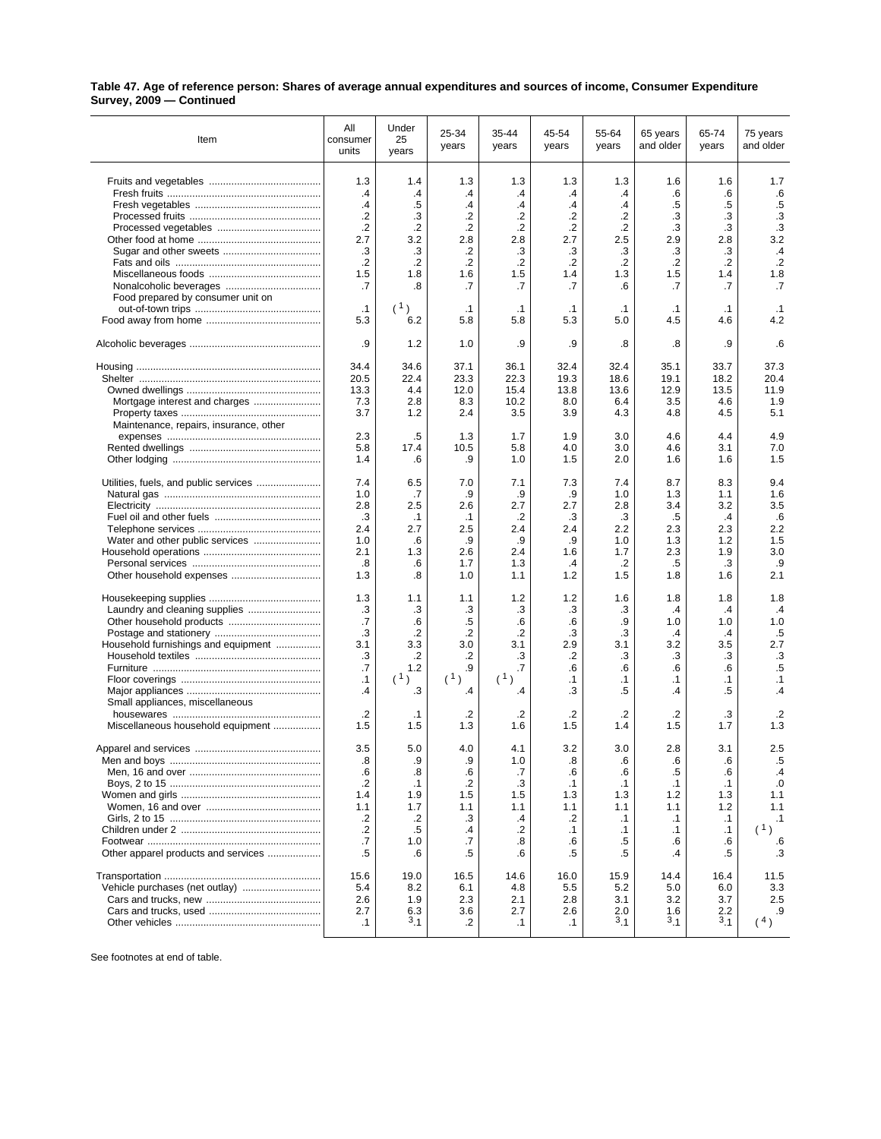| Table 47. Age of reference person: Shares of average annual expenditures and sources of income, Consumer Expenditure |  |
|----------------------------------------------------------------------------------------------------------------------|--|
| Survey, 2009 - Continued                                                                                             |  |

| Item                                   | All<br>consumer<br>units | Under<br>25<br>years | 25-34<br>years   | 35-44<br>years   | 45-54<br>years   | 55-64<br>years   | 65 years<br>and older | 65-74<br>years   | 75 years<br>and older |
|----------------------------------------|--------------------------|----------------------|------------------|------------------|------------------|------------------|-----------------------|------------------|-----------------------|
|                                        | 1.3                      | 1.4                  | 1.3              | 1.3              | 1.3              | 1.3              | 1.6                   | 1.6              | 1.7                   |
|                                        | $\cdot$                  | .4                   | .4               | .4               | $\cdot$          | $\cdot$          | .6                    | .6               | .6                    |
|                                        | $\mathcal{A}$            | .5                   | $\cdot$          | .4               | .4               | .4               | .5                    | .5               | $.5\,$                |
|                                        | $\cdot$                  | .3                   | .2               | .2               | $\cdot$          | .2               | $\cdot$ 3             | .3               | .3                    |
|                                        | $\cdot$                  | .2                   | .2               | $\cdot$          | .2               | $\cdot$          | .3                    | .3               | .3                    |
|                                        | 2.7                      | 3.2                  | 2.8              | 2.8              | 2.7              | 2.5              | 2.9                   | 2.8              | 3.2                   |
|                                        | .3                       | .3                   | .2               | .3               | .3               | .3               | .3                    | .3               | $\cdot$ 4             |
|                                        | $\cdot$                  | .2                   | .2               | $\cdot$          | $\cdot$          | $\cdot$          | $\cdot$               | $\cdot$          | $\cdot$               |
|                                        | 1.5                      | 1.8                  | 1.6              | 1.5              | 1.4              | 1.3              | 1.5                   | 1.4              | 1.8                   |
|                                        | .7                       | .8                   | .7               | .7               | .7               | .6               | .7                    | .7               | .7                    |
| Food prepared by consumer unit on      |                          | (1)                  |                  |                  |                  |                  |                       |                  |                       |
|                                        | $\cdot$ 1<br>5.3         | 6.2                  | $\cdot$ 1<br>5.8 | $\cdot$ 1<br>5.8 | $\cdot$ 1<br>5.3 | $\cdot$ 1<br>5.0 | $\cdot$ 1<br>4.5      | $\cdot$ 1<br>4.6 | $\cdot$ 1<br>4.2      |
|                                        |                          |                      |                  |                  |                  |                  |                       |                  |                       |
|                                        | .9                       | 1.2                  | 1.0              | .9               | .9               | .8               | .8                    | .9               | .6                    |
|                                        | 34.4                     | 34.6                 | 37.1             | 36.1             | 32.4             | 32.4             | 35.1                  | 33.7             | 37.3                  |
|                                        | 20.5                     | 22.4                 | 23.3             | 22.3             | 19.3             | 18.6             | 19.1                  | 18.2             | 20.4                  |
|                                        | 13.3                     | 4.4                  | 12.0             | 15.4             | 13.8             | 13.6             | 12.9                  | 13.5             | 11.9                  |
| Mortgage interest and charges          | 7.3                      | 2.8                  | 8.3              | 10.2             | 8.0              | 6.4              | 3.5                   | 4.6              | 1.9                   |
|                                        | 3.7                      | 1.2                  | 2.4              | 3.5              | 3.9              | 4.3              | 4.8                   | 4.5              | 5.1                   |
| Maintenance, repairs, insurance, other |                          |                      |                  |                  |                  |                  |                       |                  |                       |
|                                        | 2.3                      | .5                   | 1.3              | 1.7              | 1.9              | 3.0              | 4.6                   | 4.4              | 4.9                   |
|                                        | 5.8                      | 17.4                 | 10.5             | 5.8              | 4.0              | 3.0              | 4.6                   | 3.1              | 7.0                   |
|                                        | 1.4                      | .6                   | .9               | 1.0              | 1.5              | 2.0              | 1.6                   | 1.6              | 1.5                   |
|                                        | 7.4                      | 6.5                  | 7.0              | 7.1              | 7.3              | 7.4              | 8.7                   | 8.3              | 9.4                   |
|                                        | 1.0                      | .7                   | .9               | .9               | .9               | 1.0              | 1.3                   | 1.1              | 1.6                   |
|                                        | 2.8                      | 2.5                  | 2.6              | 2.7              | 2.7              | 2.8              | 3.4                   | 3.2              | 3.5                   |
|                                        | .3                       | $\cdot$ 1            | $\cdot$ 1        | $\cdot$          | .3               | .3               | .5                    | $\cdot$          | .6                    |
|                                        | 2.4                      | 2.7                  | 2.5              | 2.4              | 2.4              | 2.2              | 2.3                   | 2.3              | 2.2                   |
|                                        | 1.0                      | .6                   | .9               | .9               | .9               | 1.0              | 1.3                   | 1.2              | 1.5                   |
|                                        | 2.1                      | 1.3                  | 2.6              | 2.4              | 1.6              | 1.7              | 2.3                   | 1.9              | 3.0                   |
|                                        | .8                       | .6                   | 1.7              | 1.3              | $\cdot$          | .2               | .5                    | .3               | .9                    |
|                                        | 1.3                      | .8                   | 1.0              | 1.1              | 1.2              | 1.5              | 1.8                   | 1.6              | 2.1                   |
|                                        | 1.3                      | 1.1                  | 1.1              | 1.2              | 1.2              | 1.6              | 1.8                   | 1.8              | 1.8                   |
| Laundry and cleaning supplies          | .3                       | .3                   | .3               | .3               | .3               | .3               | $\mathcal{A}$         | .4               | $\cdot$               |
|                                        | .7                       | .6                   | $.5\,$           | .6               | .6               | .9               | 1.0                   | 1.0              | 1.0                   |
|                                        | .3                       | .2                   | $\cdot$          | $\cdot$          | .3               | .3               | $\cdot$               | $\cdot$          | .5                    |
| Household furnishings and equipment    | 3.1                      | 3.3                  | 3.0              | 3.1              | 2.9              | 3.1              | 3.2                   | 3.5              | 2.7                   |
|                                        | .3                       | .2                   | .2               | .3               | .2               | .3               | .3                    | .3               | .3                    |
|                                        | .7                       | 1.2                  | .9               | .7               | .6               | .6               | .6                    | .6               | $.5\,$                |
|                                        | $\cdot$ 1                | (1)                  | (1)              | (1)              | $\cdot$ 1        | $\cdot$ 1        | $\cdot$ 1             | $\cdot$ 1        | $\cdot$ 1             |
|                                        | .4                       | .3                   | .4               | .4               | .3               | .5               | .4                    | .5               | $\mathcal{A}$         |
| Small appliances, miscellaneous        |                          |                      |                  |                  |                  |                  |                       |                  |                       |
|                                        | $\cdot$                  | $\cdot$ 1            | .2               | .2               | $\cdot$          | $\cdot$          | .2                    | .3               | .2                    |
| Miscellaneous household equipment      | 1.5                      | 1.5                  | 1.3              | 1.6              | 1.5              | 1.4              | 1.5                   | 1.7              | 1.3                   |
|                                        | 3.5                      | 5.0                  | 4.0              | 4.1              | 3.2              | 3.0              | 2.8                   | 3.1              | 2.5                   |
|                                        | .ၓ                       | .ყ                   | .9               | 1.0              | .8               | .o               | .6                    | .6               | .5                    |
|                                        | .6                       | .8                   | .6               | .7               | .6               | .6               | .5                    | .6               | $\cdot$               |
|                                        | $\cdot$                  | $\cdot$ 1            | .2               | .3               | $\cdot$ 1        | $\cdot$ 1        | $\cdot$ 1             | $\cdot$ 1        | .0                    |
|                                        | 1.4                      | 1.9                  | 1.5              | 1.5              | 1.3              | 1.3              | 1.2                   | 1.3              | 1.1                   |
|                                        | 1.1                      | 1.7                  | 1.1              | 1.1              | 1.1              | 1.1              | 1.1                   | 1.2              | 1.1                   |
|                                        | $\cdot$                  | .2                   | .3               | .4               | .2               | $\cdot$ 1        | $\cdot$ 1             | $\cdot$ 1        | $\cdot$ 1             |
|                                        | .2                       | .5                   | .4               | .2               | $\cdot$ 1        | $\cdot$ 1        | $\cdot$ 1             | $\cdot$ 1        | (1)                   |
|                                        | .7                       | 1.0                  | .7               | .8               | .6               | .5               | .6                    | .6               | .6                    |
| Other apparel products and services    | .5                       | .6                   | .5               | .6               | .5               | .5               | .4                    | .5               | .3                    |
|                                        | 15.6                     | 19.0                 | 16.5             | 14.6             | 16.0             | 15.9             | 14.4                  | 16.4             | 11.5                  |
| Vehicle purchases (net outlay)         | 5.4                      | 8.2                  | 6.1              | 4.8              | 5.5              | 5.2              | 5.0                   | 6.0              | 3.3                   |
|                                        | 2.6                      | 1.9                  | 2.3              | 2.1              | 2.8              | 3.1              | 3.2                   | 3.7              | 2.5                   |
|                                        | 2.7                      | 6.3                  | 3.6              | 2.7              | 2.6              | 2.0              | 1.6                   | 2.2              | .9                    |
|                                        | $\cdot$ 1                | $^{3}$ .1            | .2               | $\cdot$ 1        | $\cdot$ 1        | 3.1              | 3.1                   | $^{3}$ .1        | (4)                   |

See footnotes at end of table.